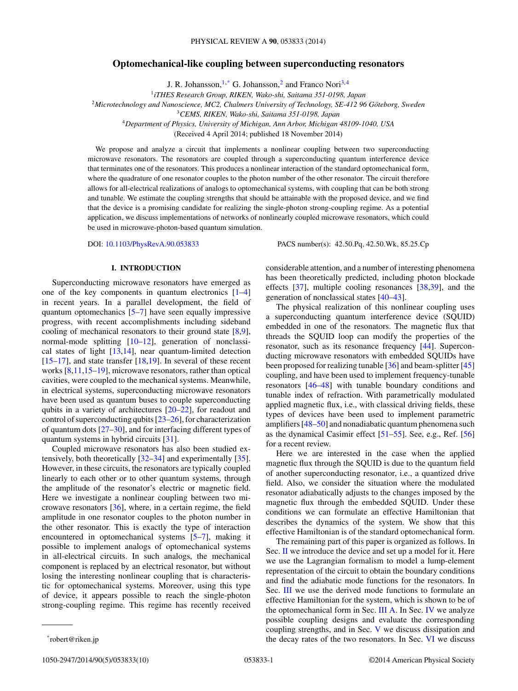# **Optomechanical-like coupling between superconducting resonators**

J. R. Johansson,  $1, *$  G. Johansson, 2 and Franco Nori<sup>3,4</sup>

<sup>1</sup>*iTHES Research Group, RIKEN, Wako-shi, Saitama 351-0198, Japan*

<sup>2</sup>Microtechnology and Nanoscience, MC2, Chalmers University of Technology, SE-412 96 Göteborg, Sweden

<sup>3</sup>*CEMS, RIKEN, Wako-shi, Saitama 351-0198, Japan*

<sup>4</sup>*Department of Physics, University of Michigan, Ann Arbor, Michigan 48109-1040, USA*

(Received 4 April 2014; published 18 November 2014)

We propose and analyze a circuit that implements a nonlinear coupling between two superconducting microwave resonators. The resonators are coupled through a superconducting quantum interference device that terminates one of the resonators. This produces a nonlinear interaction of the standard optomechanical form, where the quadrature of one resonator couples to the photon number of the other resonator. The circuit therefore allows for all-electrical realizations of analogs to optomechanical systems, with coupling that can be both strong and tunable. We estimate the coupling strengths that should be attainable with the proposed device, and we find that the device is a promising candidate for realizing the single-photon strong-coupling regime. As a potential application, we discuss implementations of networks of nonlinearly coupled microwave resonators, which could be used in microwave-photon-based quantum simulation.

DOI: [10.1103/PhysRevA.90.053833](http://dx.doi.org/10.1103/PhysRevA.90.053833) PACS number(s): 42*.*50*.*Pq*,* 42*.*50*.*Wk*,* 85*.*25*.*Cp

# **I. INTRODUCTION**

Superconducting microwave resonators have emerged as one of the key components in quantum electronics [\[1–4\]](#page-8-0) in recent years. In a parallel development, the field of quantum optomechanics [\[5–7\]](#page-8-0) have seen equally impressive progress, with recent accomplishments including sideband cooling of mechanical resonators to their ground state [\[8,9\]](#page-8-0), normal-mode splitting [\[10–12\]](#page-8-0), generation of nonclassical states of light [\[13,14\]](#page-8-0), near quantum-limited detection  $[15–17]$ , and state transfer  $[18,19]$ . In several of these recent works [\[8,11,15–19\]](#page-8-0), microwave resonators, rather than optical cavities, were coupled to the mechanical systems. Meanwhile, in electrical systems, superconducting microwave resonators have been used as quantum buses to couple superconducting qubits in a variety of architectures [\[20–22\]](#page-8-0), for readout and control of superconducting qubits [\[23–26\]](#page-8-0), for characterization of quantum dots [\[27–30\]](#page-8-0), and for interfacing different types of quantum systems in hybrid circuits [\[31\]](#page-8-0).

Coupled microwave resonators has also been studied extensively, both theoretically [\[32–34\]](#page-8-0) and experimentally [\[35\]](#page-8-0). However, in these circuits, the resonators are typically coupled linearly to each other or to other quantum systems, through the amplitude of the resonator's electric or magnetic field. Here we investigate a nonlinear coupling between two microwave resonators [\[36\]](#page-8-0), where, in a certain regime, the field amplitude in one resonator couples to the photon number in the other resonator. This is exactly the type of interaction encountered in optomechanical systems [\[5–7\]](#page-8-0), making it possible to implement analogs of optomechanical systems in all-electrical circuits. In such analogs, the mechanical component is replaced by an electrical resonator, but without losing the interesting nonlinear coupling that is characteristic for optomechanical systems. Moreover, using this type of device, it appears possible to reach the single-photon strong-coupling regime. This regime has recently received

considerable attention, and a number of interesting phenomena has been theoretically predicted, including photon blockade effects [\[37\]](#page-8-0), multiple cooling resonances [\[38,](#page-8-0)[39\]](#page-9-0), and the generation of nonclassical states [\[40–43\]](#page-9-0).

The physical realization of this nonlinear coupling uses a superconducting quantum interference device (SQUID) embedded in one of the resonators. The magnetic flux that threads the SQUID loop can modify the properties of the resonator, such as its resonance frequency [\[44\]](#page-9-0). Superconducting microwave resonators with embedded SQUIDs have been proposed for realizing tunable [\[36\]](#page-8-0) and beam-splitter [\[45\]](#page-9-0) coupling, and have been used to implement frequency-tunable resonators [\[46–48\]](#page-9-0) with tunable boundary conditions and tunable index of refraction. With parametrically modulated applied magnetic flux, i.e., with classical driving fields, these types of devices have been used to implement parametric amplifiers [\[48–50\]](#page-9-0) and nonadiabatic quantum phenomena such as the dynamical Casimir effect [\[51–55\]](#page-9-0). See, e.g., Ref. [\[56\]](#page-9-0) for a recent review.

Here we are interested in the case when the applied magnetic flux through the SQUID is due to the quantum field of another superconducting resonator, i.e., a quantized drive field. Also, we consider the situation where the modulated resonator adiabatically adjusts to the changes imposed by the magnetic flux through the embedded SQUID. Under these conditions we can formulate an effective Hamiltonian that describes the dynamics of the system. We show that this effective Hamiltonian is of the standard optomechanical form.

The remaining part of this paper is organized as follows. In Sec. [II](#page-1-0) we introduce the device and set up a model for it. Here we use the Lagrangian formalism to model a lump-element representation of the circuit to obtain the boundary conditions and find the adiabatic mode functions for the resonators. In Sec. [III](#page-3-0) we use the derived mode functions to formulate an effective Hamiltonian for the system, which is shown to be of the optomechanical form in Sec. [III A.](#page-3-0) In Sec. [IV](#page-4-0) we analyze possible coupling designs and evaluate the corresponding coupling strengths, and in Sec. [V](#page-6-0) we discuss dissipation and the decay rates of the two resonators. In Sec. [VI](#page-7-0) we discuss

<sup>\*</sup>robert@riken.jp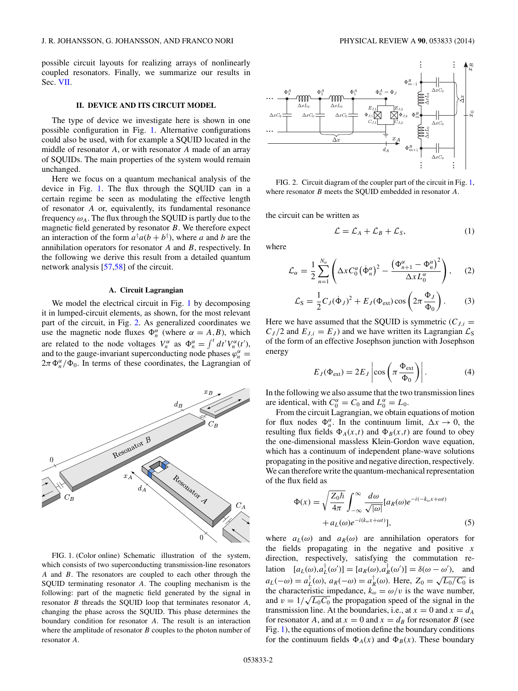<span id="page-1-0"></span>possible circuit layouts for realizing arrays of nonlinearly coupled resonators. Finally, we summarize our results in Sec. [VII.](#page-8-0)

### **II. DEVICE AND ITS CIRCUIT MODEL**

The type of device we investigate here is shown in one possible configuration in Fig. 1. Alternative configurations could also be used, with for example a SQUID located in the middle of resonator *A*, or with resonator *A* made of an array of SQUIDs. The main properties of the system would remain unchanged.

Here we focus on a quantum mechanical analysis of the device in Fig. 1. The flux through the SQUID can in a certain regime be seen as modulating the effective length of resonator *A* or, equivalently, its fundamental resonance frequency  $\omega_A$ . The flux through the SQUID is partly due to the magnetic field generated by resonator *B*. We therefore expect an interaction of the form  $a^{\dagger}a(b+b^{\dagger})$ , where *a* and *b* are the annihilation operators for resonator *A* and *B*, respectively. In the following we derive this result from a detailed quantum network analysis [\[57,58\]](#page-9-0) of the circuit.

# **A. Circuit Lagrangian**

We model the electrical circuit in Fig. 1 by decomposing it in lumped-circuit elements, as shown, for the most relevant part of the circuit, in Fig. 2. As generalized coordinates we use the magnetic node fluxes  $\Phi_n^{\alpha}$  (where  $\alpha = A, B$ ), which are related to the node voltages  $V_n^{\alpha}$  as  $\Phi_n^{\alpha} = \int_0^t dt' V_n^{\alpha}(t'),$ and to the gauge-invariant superconducting node phases  $\varphi_n^{\alpha}$  =  $2\pi \Phi_n^{\alpha}/\Phi_0$ . In terms of these coordinates, the Lagrangian of



FIG. 1. (Color online) Schematic illustration of the system, which consists of two superconducting transmission-line resonators *A* and *B*. The resonators are coupled to each other through the SQUID terminating resonator *A*. The coupling mechanism is the following: part of the magnetic field generated by the signal in resonator *B* threads the SQUID loop that terminates resonator *A*, changing the phase across the SQUID. This phase determines the boundary condition for resonator *A*. The result is an interaction where the amplitude of resonator *B* couples to the photon number of resonator *A*.



FIG. 2. Circuit diagram of the coupler part of the circuit in Fig. 1, where resonator *B* meets the SQUID embedded in resonator *A*.

the circuit can be written as

$$
\mathcal{L} = \mathcal{L}_A + \mathcal{L}_B + \mathcal{L}_S, \tag{1}
$$

where

$$
\mathcal{L}_{\alpha} = \frac{1}{2} \sum_{n=1}^{N_{\alpha}} \left( \Delta x C_0^{\alpha} (\dot{\Phi}_n^{\alpha})^2 - \frac{(\Phi_{n+1}^{\alpha} - \Phi_n^{\alpha})^2}{\Delta x L_0^{\alpha}} \right), \quad (2)
$$

$$
\mathcal{L}_{\rm S} = \frac{1}{2} C_J (\dot{\Phi}_J)^2 + E_J (\Phi_{\rm ext}) \cos \left( 2\pi \frac{\Phi_J}{\Phi_0} \right). \tag{3}
$$

Here we have assumed that the SQUID is symmetric  $(C_{J,i} =$  $C_J/2$  and  $E_{J,i} = E_J$ ) and we have written its Lagrangian  $\mathcal{L}_S$ of the form of an effective Josephson junction with Josephson energy

$$
E_J(\Phi_{ext}) = 2E_J \left| \cos \left( \pi \frac{\Phi_{ext}}{\Phi_0} \right) \right|.
$$
 (4)

In the following we also assume that the two transmission lines are identical, with  $C_0^{\alpha} = C_0$  and  $L_0^{\alpha} = L_0$ .

From the circuit Lagrangian, we obtain equations of motion for flux nodes  $\Phi_n^{\alpha}$ . In the continuum limit,  $\Delta x \to 0$ , the resulting flux fields  $\Phi_A(x,t)$  and  $\Phi_B(x,t)$  are found to obey the one-dimensional massless Klein-Gordon wave equation, which has a continuum of independent plane-wave solutions propagating in the positive and negative direction, respectively. We can therefore write the quantum-mechanical representation of the flux field as

$$
\Phi(x) = \sqrt{\frac{Z_0 \hbar}{4\pi}} \int_{-\infty}^{\infty} \frac{d\omega}{\sqrt{|\omega|}} [a_R(\omega) e^{-i(-k_\omega x + \omega t)} + a_L(\omega) e^{-i(k_\omega x + \omega t)}],
$$
\n(5)

where  $a_L(\omega)$  and  $a_R(\omega)$  are annihilation operators for the fields propagating in the negative and positive *x* direction, respectively, satisfying the commutation relation  $[a_L(\omega), a_L^{\dagger}(\omega')] = [a_R(\omega), a_R^{\dagger}(\omega')] = \delta(\omega - \omega'),$  and  $a_L(-\omega) = a_L^{\dagger}(\omega)$ ,  $a_R(-\omega) = a_R^{\dagger}(\omega)$ . Here,  $Z_0 = \sqrt{L_0/C_0}$  is the characteristic impedance,  $k_{\omega} = \omega/v$  is the wave number, and  $v = 1/\sqrt{L_0 C_0}$  the propagation speed of the signal in the transmission line. At the boundaries, i.e., at  $x = 0$  and  $x = d_A$ for resonator *A*, and at  $x = 0$  and  $x = d_B$  for resonator *B* (see Fig. 1), the equations of motion define the boundary conditions for the continuum fields  $\Phi_A(x)$  and  $\Phi_B(x)$ . These boundary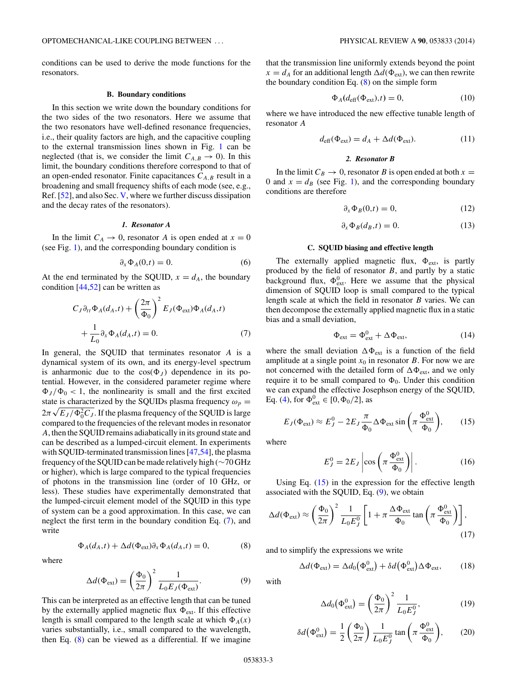<span id="page-2-0"></span>conditions can be used to derive the mode functions for the resonators.

#### **B. Boundary conditions**

In this section we write down the boundary conditions for the two sides of the two resonators. Here we assume that the two resonators have well-defined resonance frequencies, i.e., their quality factors are high, and the capacitive coupling to the external transmission lines shown in Fig. [1](#page-1-0) can be neglected (that is, we consider the limit  $C_{A,B} \to 0$ ). In this limit, the boundary conditions therefore correspond to that of an open-ended resonator. Finite capacitances  $C_{A,B}$  result in a broadening and small frequency shifts of each mode (see, e.g., Ref. [\[52\]](#page-9-0), and also Sec. [V,](#page-6-0) where we further discuss dissipation and the decay rates of the resonators).

### *1. Resonator A*

In the limit  $C_A \rightarrow 0$ , resonator *A* is open ended at  $x = 0$ (see Fig. [1\)](#page-1-0), and the corresponding boundary condition is

$$
\partial_x \Phi_A(0,t) = 0. \tag{6}
$$

At the end terminated by the SQUID,  $x = d_A$ , the boundary condition [\[44,52\]](#page-9-0) can be written as

$$
C_J \partial_{tt} \Phi_A(d_A, t) + \left(\frac{2\pi}{\Phi_0}\right)^2 E_J(\Phi_{ext}) \Phi_A(d_A, t)
$$
  
+ 
$$
\frac{1}{L_0} \partial_x \Phi_A(d_A, t) = 0.
$$
 (7)

In general, the SQUID that terminates resonator *A* is a dynamical system of its own, and its energy-level spectrum is anharmonic due to the  $cos(\Phi_J)$  dependence in its potential. However, in the considered parameter regime where  $\Phi_J/\Phi_0$  < 1, the nonlinearity is small and the first excited state is characterized by the SQUIDs plasma frequency  $\omega_p$  =  $2\pi\sqrt{E_J/\Phi_0^2C_J}$ . If the plasma frequency of the SQUID is large compared to the frequencies of the relevant modes in resonator *A*, then the SQUID remains adiabatically in its ground state and can be described as a lumped-circuit element. In experiments with SQUID-terminated transmission lines [\[47,54\]](#page-9-0), the plasma frequency of the SQUID can be made relatively high (∼70 GHz or higher), which is large compared to the typical frequencies of photons in the transmission line (order of 10 GHz, or less). These studies have experimentally demonstrated that the lumped-circuit element model of the SQUID in this type of system can be a good approximation. In this case, we can neglect the first term in the boundary condition Eq. (7), and write

$$
\Phi_A(d_A, t) + \Delta d(\Phi_{ext}) \partial_x \Phi_A(d_A, t) = 0,\tag{8}
$$

where

$$
\Delta d(\Phi_{\text{ext}}) = \left(\frac{\Phi_0}{2\pi}\right)^2 \frac{1}{L_0 E_J(\Phi_{\text{ext}})}.
$$
\n(9)

This can be interpreted as an effective length that can be tuned by the externally applied magnetic flux  $\Phi_{ext}$ . If this effective length is small compared to the length scale at which  $\Phi_A(x)$ varies substantially, i.e., small compared to the wavelength, then Eq. (8) can be viewed as a differential. If we imagine that the transmission line uniformly extends beyond the point  $x = d_A$  for an additional length  $\Delta d(\Phi_{ext})$ , we can then rewrite the boundary condition Eq.  $(8)$  on the simple form

$$
\Phi_A(d_{\text{eff}}(\Phi_{\text{ext}}),t) = 0,\tag{10}
$$

where we have introduced the new effective tunable length of resonator *A*

$$
d_{\text{eff}}(\Phi_{\text{ext}}) = d_A + \Delta d(\Phi_{\text{ext}}).
$$
 (11)

## *2. Resonator B*

In the limit  $C_B \rightarrow 0$ , resonator *B* is open ended at both  $x =$ 0 and  $x = d_B$  (see Fig. [1\)](#page-1-0), and the corresponding boundary conditions are therefore

$$
\partial_x \Phi_B(0,t) = 0,\tag{12}
$$

$$
\partial_x \Phi_B(d_B, t) = 0. \tag{13}
$$

#### **C. SQUID biasing and effective length**

The externally applied magnetic flux,  $\Phi_{ext}$ , is partly produced by the field of resonator *B*, and partly by a static background flux,  $\Phi_{ext}^0$ . Here we assume that the physical dimension of SQUID loop is small compared to the typical length scale at which the field in resonator *B* varies. We can then decompose the externally applied magnetic flux in a static bias and a small deviation,

$$
\Phi_{\text{ext}} = \Phi_{\text{ext}}^0 + \Delta \Phi_{\text{ext}}, \tag{14}
$$

where the small deviation  $\Delta \Phi_{ext}$  is a function of the field amplitude at a single point  $x_0$  in resonator  $B$ . For now we are not concerned with the detailed form of  $\Delta \Phi_{ext}$ , and we only require it to be small compared to  $\Phi_0$ . Under this condition we can expand the effective Josephson energy of the SQUID, Eq. [\(4\)](#page-1-0), for  $\Phi_{ext}^0 \in [0, \Phi_0/2]$ , as

$$
E_J(\Phi_{\text{ext}}) \approx E_J^0 - 2E_J \frac{\pi}{\Phi_0} \Delta \Phi_{\text{ext}} \sin \left( \pi \frac{\Phi_{\text{ext}}^0}{\Phi_0} \right), \quad (15)
$$

where

$$
E_J^0 = 2E_J \left| \cos \left( \pi \frac{\Phi_{\text{ext}}^0}{\Phi_0} \right) \right|.
$$
 (16)

Using Eq. (15) in the expression for the effective length associated with the SQUID, Eq. (9), we obtain

$$
\Delta d(\Phi_{ext}) \approx \left(\frac{\Phi_0}{2\pi}\right)^2 \frac{1}{L_0 E_J^0} \left[1 + \pi \frac{\Delta \Phi_{ext}}{\Phi_0} \tan \left(\pi \frac{\Phi_{ext}^0}{\Phi_0}\right)\right],\tag{17}
$$

and to simplify the expressions we write

$$
\Delta d(\Phi_{\rm ext}) = \Delta d_0(\Phi_{\rm ext}^0) + \delta d(\Phi_{\rm ext}^0) \Delta \Phi_{\rm ext},\qquad(18)
$$

with

$$
\Delta d_0 \left( \Phi_{\text{ext}}^0 \right) = \left( \frac{\Phi_0}{2\pi} \right)^2 \frac{1}{L_0 E_J^0},\tag{19}
$$

$$
\delta d(\Phi_{\text{ext}}^0) = \frac{1}{2} \left( \frac{\Phi_0}{2\pi} \right) \frac{1}{L_0 E_J^0} \tan \left( \pi \frac{\Phi_{\text{ext}}^0}{\Phi_0} \right), \qquad (20)
$$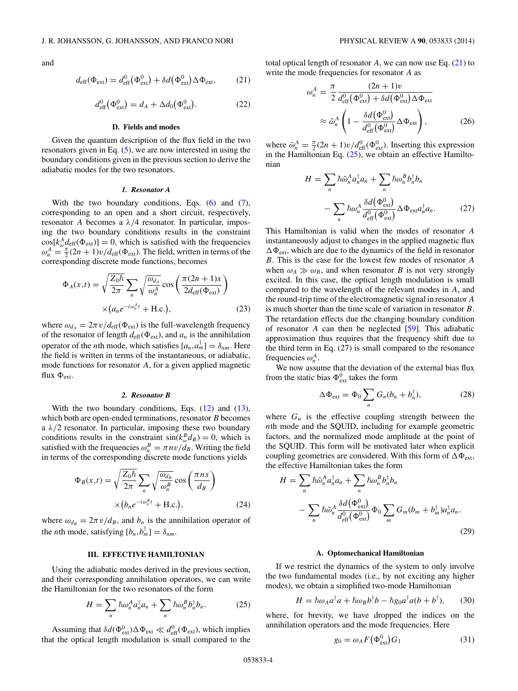<span id="page-3-0"></span>and

$$
d_{\text{eff}}(\Phi_{\text{ext}}) = d_{\text{eff}}^{0}(\Phi_{\text{ext}}^{0}) + \delta d(\Phi_{\text{ext}}^{0}) \Delta \Phi_{\text{ext}}, \quad (21)
$$

$$
d_{\text{eff}}^0(\Phi_{\text{ext}}^0) = d_A + \Delta d_0(\Phi_{\text{ext}}^0). \tag{22}
$$

## **D. Fields and modes**

Given the quantum description of the flux field in the two resonators given in Eq. [\(5\)](#page-1-0), we are now interested in using the boundary conditions given in the previous section to derive the adiabatic modes for the two resonators.

#### *1. Resonator A*

With the two boundary conditions, Eqs. [\(6\)](#page-2-0) and [\(7\)](#page-2-0), corresponding to an open and a short circuit, respectively, resonator *A* becomes a *λ/*4 resonator. In particular, imposing the two boundary conditions results in the constraint  $cos[k_{\omega}^{A}d_{\text{eff}}(\Phi_{ext})] = 0$ , which is satisfied with the frequencies  $\omega_n^A = \frac{\pi}{2}(2n+1)v/d_{\text{eff}}(\Phi_{\text{ext}})$ . The field, written in terms of the corresponding discrete mode functions, becomes

$$
\Phi_A(x,t) = \sqrt{\frac{Z_0 \hbar}{2\pi}} \sum_n \sqrt{\frac{\omega_{d_A}}{\omega_n^A}} \cos\left(\frac{\pi (2n+1)x}{2d_{\text{eff}}(\Phi_{\text{ext}})}\right)
$$

$$
\times (a_n e^{-i\omega_n^A t} + \text{H.c.}), \qquad (23)
$$

where  $\omega_{d_A} = 2\pi v/d_{\text{eff}}(\Phi_{\text{ext}})$  is the full-wavelength frequency of the resonator of length  $d_{\text{eff}}(\Phi_{\text{ext}})$ , and  $a_n$  is the annihilation operator of the *n*th mode, which satisfies  $[a_n, a_m] = \delta_{nm}$ . Here the field is written in terms of the instantaneous, or adiabatic, mode functions for resonator *A*, for a given applied magnetic flux  $\Phi_{\text{ext}}$ .

## *2. Resonator B*

With the two boundary conditions, Eqs.  $(12)$  and  $(13)$ , which both are open-ended terminations, resonator *B* becomes a  $\lambda/2$  resonator. In particular, imposing these two boundary conditions results in the constraint  $\sin(k_{\omega}^{B}d_{B}) = 0$ , which is satisfied with the frequencies  $\omega_n^B = \pi n v / d_B$ . Writing the field in terms of the corresponding discrete mode functions yields

$$
\Phi_B(x,t) = \sqrt{\frac{Z_0 \hbar}{2\pi}} \sum_n \sqrt{\frac{\omega_{d_B}}{\omega_n^B}} \cos\left(\frac{\pi n x}{d_B}\right)
$$

$$
\times (b_n e^{-i\omega_n^B t} + \text{H.c.}), \tag{24}
$$

where  $\omega_{d} = 2\pi v/d_B$ , and  $b_n$  is the annihilation operator of the *n*th mode, satisfying  $[b_n, b_m] = \delta_{nm}$ .

## **III. EFFECTIVE HAMILTONIAN**

Using the adiabatic modes derived in the previous section, and their corresponding annihilation operators, we can write the Hamiltonian for the two resonators of the form

$$
H = \sum_{n} \hbar \omega_n^A a_n^{\dagger} a_n + \sum_{n} \hbar \omega_n^B b_n^{\dagger} b_n.
$$
 (25)

Assuming that  $\delta d(\Phi_{ext}^0) \Delta \Phi_{ext} \ll d_{eff}^0(\Phi_{ext})$ , which implies that the optical length modulation is small compared to the

total optical length of resonator  $A$ , we can now use Eq.  $(21)$  to write the mode frequencies for resonator *A* as

$$
\omega_n^A = \frac{\pi}{2} \frac{(2n+1)v}{d_{\text{eff}}^0(\Phi_{\text{ext}}^0) + \delta d(\Phi_{\text{ext}}^0) \Delta \Phi_{\text{ext}}}
$$

$$
\approx \tilde{\omega}_n^A \left( 1 - \frac{\delta d(\Phi_{\text{ext}}^0)}{d_{\text{eff}}^0(\Phi_{\text{ext}}^0)} \Delta \Phi_{\text{ext}} \right), \tag{26}
$$

where  $\tilde{\omega}_n^A = \frac{\pi}{2} (2n+1) v/d_{\text{eff}}^0(\Phi_{\text{ext}}^0)$ . Inserting this expression in the Hamiltonian Eq.  $(25)$ , we obtain an effective Hamiltonian

$$
H = \sum_{n} \hbar \tilde{\omega}_{n}^{A} a_{n}^{\dagger} a_{n} + \sum_{n} \hbar \omega_{n}^{B} b_{n}^{\dagger} b_{n}
$$

$$
- \sum_{n} \hbar \omega_{n}^{A} \frac{\delta d(\Phi_{ext}^{0})}{d_{\text{eff}}^{0}(\Phi_{ext}^{0})} \Delta \Phi_{ext} a_{n}^{\dagger} a_{n}.
$$
 (27)

This Hamiltonian is valid when the modes of resonator *A* instantaneously adjust to changes in the applied magnetic flux  $\Delta\Phi_{\rm ext}$ , which are due to the dynamics of the field in resonator *B*. This is the case for the lowest few modes of resonator *A* when  $\omega_A \gg \omega_B$ , and when resonator *B* is not very strongly excited. In this case, the optical length modulation is small compared to the wavelength of the relevant modes in *A*, and the round-trip time of the electromagnetic signal in resonator *A* is much shorter than the time scale of variation in resonator *B*. The retardation effects due the changing boundary condition of resonator *A* can then be neglected [\[59\]](#page-9-0). This adiabatic approximation thus requires that the frequency shift due to the third term in Eq. (27) is small compared to the resonance frequencies  $\omega_n^A$ .

We now assume that the deviation of the external bias flux from the static bias  $\Phi_{ext}^0$  takes the form

$$
\Delta \Phi_{ext} = \Phi_0 \sum_n G_n (b_n + b_n^{\dagger}), \qquad (28)
$$

where  $G_n$  is the effective coupling strength between the *n*th mode and the SQUID, including for example geometric factors, and the normalized mode amplitude at the point of the SQUID. This form will be motivated later when explicit coupling geometries are considered. With this form of  $\Delta \Phi_{ext}$ , the effective Hamiltonian takes the form

$$
H = \sum_{n} \hbar \tilde{\omega}_{n}^{A} a_{n}^{\dagger} a_{n} + \sum_{n} \hbar \omega_{n}^{B} b_{n}^{\dagger} b_{n}
$$

$$
- \sum_{n} \hbar \tilde{\omega}_{n}^{A} \frac{\delta d(\Phi_{ext}^{0})}{d_{\text{eff}}^{0}(\Phi_{ext}^{0})} \Phi_{0} \sum_{m} G_{m} (b_{m} + b_{m}^{\dagger}) a_{n}^{\dagger} a_{n}.
$$
(29)

#### **A. Optomechanical Hamiltonian**

If we restrict the dynamics of the system to only involve the two fundamental modes (i.e., by not exciting any higher modes), we obtain a simplified two-mode Hamiltonian

$$
H = \hbar \omega_A a^{\dagger} a + \hbar \omega_B b^{\dagger} b - \hbar g_0 a^{\dagger} a (b + b^{\dagger}), \qquad (30)
$$

where, for brevity, we have dropped the indices on the annihilation operators and the mode frequencies. Here

$$
g_0 = \omega_A F(\Phi_{\text{ext}}^0) G_1 \tag{31}
$$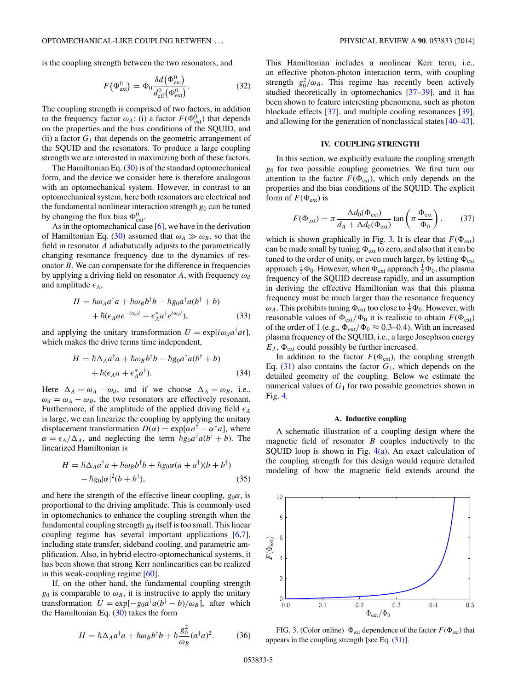<span id="page-4-0"></span>is the coupling strength between the two resonators, and

$$
F(\Phi_{\text{ext}}^0) = \Phi_0 \frac{\delta d(\Phi_{\text{ext}}^0)}{d_{\text{eff}}^0(\Phi_{\text{ext}}^0)}.
$$
 (32)

The coupling strength is comprised of two factors, in addition to the frequency factor  $\omega_A$ : (i) a factor  $F(\Phi_{ext}^0)$  that depends on the properties and the bias conditions of the SQUID, and (ii) a factor  $G_1$  that depends on the geometric arrangement of the SQUID and the resonators. To produce a large coupling strength we are interested in maximizing both of these factors.

The Hamiltonian Eq.  $(30)$  is of the standard optomechanical form, and the device we consider here is therefore analogous with an optomechanical system. However, in contrast to an optomechanical system, here both resonators are electrical and the fundamental nonlinear interaction strength  $g_0$  can be tuned by changing the flux bias  $\Phi_{ext}^0$ .

As in the optomechanical case [\[6\]](#page-8-0), we have in the derivation of Hamiltonian Eq. [\(30\)](#page-3-0) assumed that  $\omega_A \gg \omega_B$ , so that the field in resonator *A* adiabatically adjusts to the parametrically changing resonance frequency due to the dynamics of resonator *B*. We can compensate for the difference in frequencies by applying a driving field on resonator *A*, with frequency *ωd* and amplitude  $\epsilon_A$ ,

$$
H = \hbar \omega_A a^{\dagger} a + \hbar \omega_B b^{\dagger} b - \hbar g_0 a^{\dagger} a (b^{\dagger} + b) + \hbar (\epsilon_A a e^{-i\omega_d t} + \epsilon_A^* a^{\dagger} e^{i\omega_d t}),
$$
(33)

and applying the unitary transformation  $U = \exp[i\omega_d a^\dagger a t]$ , which makes the drive terms time independent,

$$
H = \hbar \Delta_A a^{\dagger} a + \hbar \omega_B b^{\dagger} b - \hbar g_0 a^{\dagger} a (b^{\dagger} + b) + \hbar (\epsilon_A a + \epsilon_A^* a^{\dagger}).
$$
 (34)

Here  $\Delta_A = \omega_A - \omega_d$ , and if we choose  $\Delta_A = \omega_B$ , i.e.,  $\omega_d = \omega_A - \omega_B$ , the two resonators are effectively resonant. Furthermore, if the amplitude of the applied driving field  $\epsilon_A$ is large, we can linearize the coupling by applying the unitary displacement transformation  $D(\alpha) = \exp[\alpha a^{\dagger} - \alpha^* a]$ , where  $\alpha = \epsilon_A/\Delta_A$ , and neglecting the term  $\bar{h}g_0a^{\dagger}a(b^{\dagger}+b)$ . The linearized Hamiltonian is

$$
H = \hbar \Delta_A a^{\dagger} a + \hbar \omega_B b^{\dagger} b + \hbar g_0 \alpha (a + a^{\dagger}) (b + b^{\dagger})
$$
  
-  $\hbar g_0 |\alpha|^2 (b + b^{\dagger}),$  (35)

and here the strength of the effective linear coupling,  $g_0\alpha$ , is proportional to the driving amplitude. This is commonly used in optomechanics to enhance the coupling strength when the fundamental coupling strength  $g_0$  itself is too small. This linear coupling regime has several important applications [\[6,7\]](#page-8-0), including state transfer, sideband cooling, and parametric amplification. Also, in hybrid electro-optomechanical systems, it has been shown that strong Kerr nonlinearities can be realized in this weak-coupling regime [\[60\]](#page-9-0).

If, on the other hand, the fundamental coupling strength  $g_0$  is comparable to  $\omega_B$ , it is instructive to apply the unitary transformation  $U = \exp[-g_0 a^{\dagger} a (b^{\dagger} - b) / \omega_B]$ , after which the Hamiltonian Eq. [\(30\)](#page-3-0) takes the form

$$
H = \hbar \Delta_A a^{\dagger} a + \hbar \omega_B b^{\dagger} b + \hbar \frac{g_0^2}{\omega_B} (a^{\dagger} a)^2. \tag{36}
$$

This Hamiltonian includes a nonlinear Kerr term, i.e., an effective photon-photon interaction term, with coupling strength  $g_0^2/\omega_B$ . This regime has recently been actively studied theoretically in optomechanics [\[37–](#page-8-0)[39\]](#page-9-0), and it has been shown to feature interesting phenomena, such as photon blockade effects [\[37\]](#page-8-0), and multiple cooling resonances [\[39\]](#page-9-0), and allowing for the generation of nonclassical states [\[40–43\]](#page-9-0).

# **IV. COUPLING STRENGTH**

In this section, we explicitly evaluate the coupling strength *g*<sup>0</sup> for two possible coupling geometries. We first turn our attention to the factor  $F(\Phi_{ext})$ , which only depends on the properties and the bias conditions of the SQUID. The explicit form of  $F(\Phi_{ext})$  is

$$
F(\Phi_{ext}) = \pi \frac{\Delta d_0(\Phi_{ext})}{d_A + \Delta d_0(\Phi_{ext})} \tan \left(\pi \frac{\Phi_{ext}}{\Phi_0}\right), \quad (37)
$$

which is shown graphically in Fig. 3. It is clear that  $F(\Phi_{ext})$ can be made small by tuning  $\Phi_{ext}$  to zero, and also that it can be tuned to the order of unity, or even much larger, by letting  $\Phi_{\text{ext}}$ approach  $\frac{1}{2}\Phi_0$ . However, when  $\Phi_{ext}$  approach  $\frac{1}{2}\Phi_0$ , the plasma frequency of the SQUID decrease rapidly, and an assumption in deriving the effective Hamiltonian was that this plasma frequency must be much larger than the resonance frequency  $\omega_A$ . This prohibits tuning  $\Phi_{ext}$  too close to  $\frac{1}{2}\Phi_0$ . However, with reasonable values of  $\Phi_{ext}/\Phi_0$  it is realistic to obtain  $F(\Phi_{ext})$ of the order of 1 (e.g.,  $\Phi_{ext}/\Phi_0 \approx 0.3{\text -}0.4$ ). With an increased plasma frequency of the SQUID, i.e., a large Josephson energy  $E_J$ ,  $\Phi_{ext}$  could possibly be further increased.

In addition to the factor  $F(\Phi_{ext})$ , the coupling strength Eq.  $(31)$  also contains the factor  $G_1$ , which depends on the detailed geometry of the coupling. Below we estimate the numerical values of  $G_1$  for two possible geometries shown in Fig. [4.](#page-5-0)

#### **A. Inductive coupling**

A schematic illustration of a coupling design where the magnetic field of resonator *B* couples inductively to the SQUID loop is shown in Fig.  $4(a)$ . An exact calculation of the coupling strength for this design would require detailed modeling of how the magnetic field extends around the



FIG. 3. (Color online)  $\Phi_{ext}$  dependence of the factor  $F(\Phi_{ext})$  that appears in the coupling strength [see Eq. [\(31\)](#page-3-0)].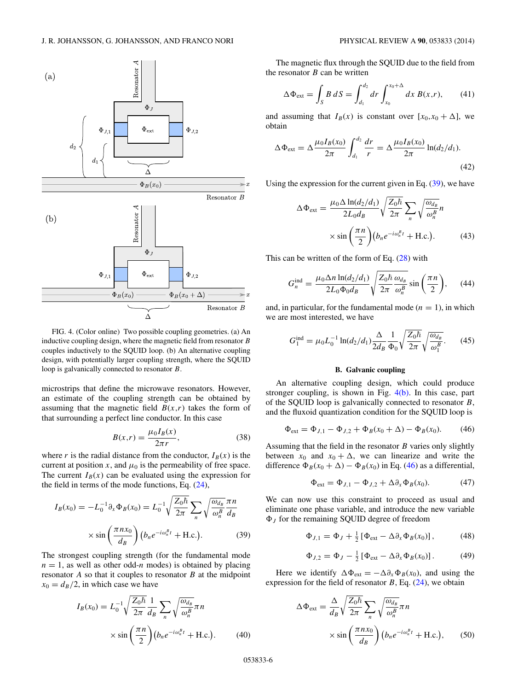<span id="page-5-0"></span>

FIG. 4. (Color online) Two possible coupling geometries. (a) An inductive coupling design, where the magnetic field from resonator *B* couples inductively to the SQUID loop. (b) An alternative coupling design, with potentially larger coupling strength, where the SQUID loop is galvanically connected to resonator *B*.

microstrips that define the microwave resonators. However, an estimate of the coupling strength can be obtained by assuming that the magnetic field  $B(x,r)$  takes the form of that surrounding a perfect line conductor. In this case

$$
B(x,r) = \frac{\mu_0 I_B(x)}{2\pi r},
$$
\n(38)

where *r* is the radial distance from the conductor,  $I_B(x)$  is the current at position *x*, and  $\mu_0$  is the permeability of free space. The current  $I_B(x)$  can be evaluated using the expression for the field in terms of the mode functions, Eq. [\(24\)](#page-3-0),

$$
I_B(x_0) = -L_0^{-1} \partial_x \Phi_B(x_0) = L_0^{-1} \sqrt{\frac{Z_0 \hbar}{2\pi}} \sum_n \sqrt{\frac{\omega_{d_B}}{\omega_B^B}} \frac{\pi n}{d_B}
$$

$$
\times \sin\left(\frac{\pi n x_0}{d_B}\right) \left(b_n e^{-i\omega_n^B t} + \text{H.c.}\right). \tag{39}
$$

The strongest coupling strength (for the fundamental mode  $n = 1$ , as well as other odd-*n* modes) is obtained by placing resonator *A* so that it couples to resonator *B* at the midpoint  $x_0 = d_B/2$ , in which case we have

$$
I_B(x_0) = L_0^{-1} \sqrt{\frac{Z_0 \hbar}{2\pi}} \frac{1}{d_B} \sum_n \sqrt{\frac{\omega_{d_B}}{\omega_n^B}} \pi n
$$
  
 
$$
\times \sin\left(\frac{\pi n}{2}\right) (b_n e^{-i\omega_n^B t} + \text{H.c.}). \tag{40}
$$

The magnetic flux through the SQUID due to the field from the resonator *B* can be written

$$
\Delta \Phi_{ext} = \int_{S} B \, dS = \int_{d_1}^{d_2} dr \int_{x_0}^{x_0 + \Delta} dx \, B(x, r), \qquad (41)
$$

and assuming that  $I_B(x)$  is constant over  $[x_0, x_0 + \Delta]$ , we obtain

$$
\Delta \Phi_{\text{ext}} = \Delta \frac{\mu_0 I_B(x_0)}{2\pi} \int_{d_1}^{d_2} \frac{dr}{r} = \Delta \frac{\mu_0 I_B(x_0)}{2\pi} \ln(d_2/d_1).
$$
\n(42)

Using the expression for the current given in Eq.  $(39)$ , we have

$$
\Delta \Phi_{ext} = \frac{\mu_0 \Delta \ln(d_2/d_1)}{2L_0 d_B} \sqrt{\frac{Z_0 \hbar}{2\pi}} \sum_n \sqrt{\frac{\omega_{d_B}}{\omega_n^B}} n
$$

$$
\times \sin\left(\frac{\pi n}{2}\right) \left(b_n e^{-i\omega_n^B t} + \text{H.c.}\right). \tag{43}
$$

This can be written of the form of Eq. [\(28\)](#page-3-0) with

$$
G_n^{\text{ind}} = \frac{\mu_0 \Delta n \ln(d_2/d_1)}{2L_0 \Phi_0 d_B} \sqrt{\frac{Z_0 \hbar \omega_{d_B}}{2\pi} \sin\left(\frac{\pi n}{2}\right)},\qquad(44)
$$

and, in particular, for the fundamental mode  $(n = 1)$ , in which we are most interested, we have

$$
G_1^{\text{ind}} = \mu_0 L_0^{-1} \ln(d_2/d_1) \frac{\Delta}{2d_B} \frac{1}{\Phi_0} \sqrt{\frac{Z_0 \hbar}{2\pi}} \sqrt{\frac{\omega_{d_B}}{\omega_1^B}}.
$$
 (45)

## **B. Galvanic coupling**

An alternative coupling design, which could produce stronger coupling, is shown in Fig.  $4(b)$ . In this case, part of the SQUID loop is galvanically connected to resonator *B*, and the fluxoid quantization condition for the SQUID loop is

$$
\Phi_{ext} = \Phi_{J,1} - \Phi_{J,2} + \Phi_B(x_0 + \Delta) - \Phi_B(x_0).
$$
 (46)

Assuming that the field in the resonator *B* varies only slightly between  $x_0$  and  $x_0 + \Delta$ , we can linearize and write the difference  $\Phi_B(x_0 + \Delta) - \Phi_B(x_0)$  in Eq. (46) as a differential,

$$
\Phi_{ext} = \Phi_{J,1} - \Phi_{J,2} + \Delta \partial_x \Phi_B(x_0). \tag{47}
$$

We can now use this constraint to proceed as usual and eliminate one phase variable, and introduce the new variable  $\Phi_J$  for the remaining SQUID degree of freedom

$$
\Phi_{J,1} = \Phi_J + \frac{1}{2} \left[ \Phi_{\text{ext}} - \Delta \partial_x \Phi_B(x_0) \right],\tag{48}
$$

$$
\Phi_{J,2} = \Phi_J - \frac{1}{2} \left[ \Phi_{\text{ext}} - \Delta \partial_x \Phi_B(x_0) \right]. \tag{49}
$$

Here we identify  $\Delta \Phi_{ext} = -\Delta \partial_x \Phi_B(x_0)$ , and using the expression for the field of resonator  $B$ , Eq.  $(24)$ , we obtain

$$
\Delta \Phi_{ext} = \frac{\Delta}{d_B} \sqrt{\frac{Z_0 \hbar}{2\pi}} \sum_n \sqrt{\frac{\omega_{d_B}}{\omega_n^B}} \pi n
$$

$$
\times \sin\left(\frac{\pi n x_0}{d_B}\right) \left(b_n e^{-i\omega_n^B t} + \text{H.c.}\right), \qquad (50)
$$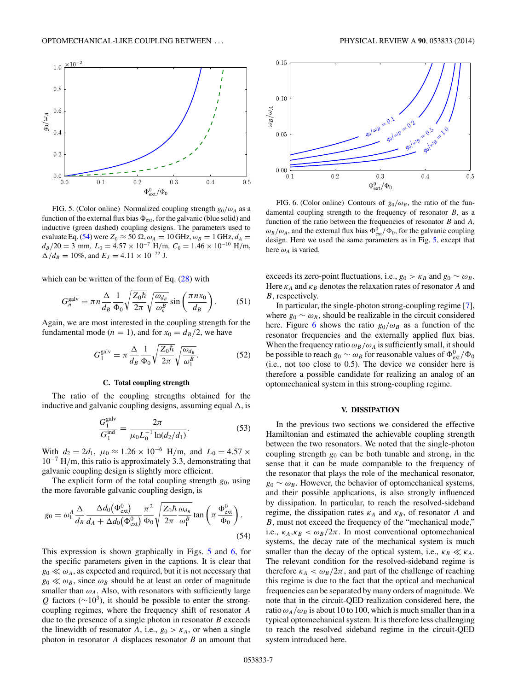<span id="page-6-0"></span>

FIG. 5. (Color online) Normalized coupling strength  $g_0/\omega_A$  as a function of the external flux bias  $\Phi_{ext}$ , for the galvanic (blue solid) and inductive (green dashed) coupling designs. The parameters used to evaluate Eq. (54) were  $Z_0 \approx 50 \Omega$ ,  $\omega_A = 10 \text{ GHz}$ ,  $\omega_B = 1 \text{ GHz}$ ,  $d_A =$  $d_B/20 = 3$  mm,  $L_0 = 4.57 \times 10^{-7}$  H/m,  $C_0 = 1.46 \times 10^{-10}$  H/m,  $\Delta/d_B = 10\%$ , and  $E_J = 4.11 \times 10^{-22}$  J.

which can be written of the form of Eq.  $(28)$  with

$$
G_n^{\text{galv}} = \pi n \frac{\Delta}{d_B} \frac{1}{\Phi_0} \sqrt{\frac{Z_0 \hbar}{2\pi}} \sqrt{\frac{\omega_{d_B}}{\omega_n^B}} \sin\left(\frac{\pi n x_0}{d_B}\right). \tag{51}
$$

Again, we are most interested in the coupling strength for the fundamental mode ( $n = 1$ ), and for  $x_0 = d_B/2$ , we have

$$
G_1^{\text{galv}} = \pi \frac{\Delta}{d_B} \frac{1}{\Phi_0} \sqrt{\frac{Z_0 \hbar}{2\pi}} \sqrt{\frac{\omega_{d_B}}{\omega_1^B}}.
$$
 (52)

#### **C. Total coupling strength**

The ratio of the coupling strengths obtained for the inductive and galvanic coupling designs, assuming equal  $\Delta$ , is

$$
\frac{G_1^{\text{galv}}}{G_1^{\text{ind}}} = \frac{2\pi}{\mu_0 L_0^{-1} \ln(d_2/d_1)}.
$$
\n(53)

With  $d_2 = 2d_1$ ,  $\mu_0 \approx 1.26 \times 10^{-6}$  H/m, and  $L_0 = 4.57 \times$ 10−<sup>7</sup> H*/*m, this ratio is approximately 3*.*3, demonstrating that galvanic coupling design is slightly more efficient.

The explicit form of the total coupling strength  $g_0$ , using the more favorable galvanic coupling design, is

$$
g_0 = \omega_1^A \frac{\Delta}{d_B} \frac{\Delta d_0(\Phi_{\text{ext}}^0)}{d_A + \Delta d_0(\Phi_{\text{ext}}^0)} \frac{\pi^2}{\Phi_0} \sqrt{\frac{Z_0 \hbar \omega_{d_B}}{2\pi}} \tan \left(\pi \frac{\Phi_{\text{ext}}^0}{\Phi_0}\right). \tag{54}
$$

This expression is shown graphically in Figs. 5 and 6, for the specific parameters given in the captions. It is clear that  $g_0 \ll \omega_A$ , as expected and required, but it is not necessary that  $g_0 \ll \omega_B$ , since  $\omega_B$  should be at least an order of magnitude smaller than  $\omega_A$ . Also, with resonators with sufficiently large  $Q$  factors ( $\sim$ 10<sup>3</sup>), it should be possible to enter the strongcoupling regimes, where the frequency shift of resonator *A* due to the presence of a single photon in resonator *B* exceeds the linewidth of resonator *A*, i.e.,  $g_0 > \kappa_A$ , or when a single photon in resonator *A* displaces resonator *B* an amount that



FIG. 6. (Color online) Contours of  $g_0/\omega_B$ , the ratio of the fundamental coupling strength to the frequency of resonator *B*, as a function of the ratio between the frequencies of resonator *B* and *A*,  $\omega_B/\omega_A$ , and the external flux bias  $\Phi_{ext}^0/\Phi_0$ , for the galvanic coupling design. Here we used the same parameters as in Fig. 5, except that here  $\omega_A$  is varied.

exceeds its zero-point fluctuations, i.e.,  $g_0 > \kappa_B$  and  $g_0 \sim \omega_B$ . Here  $\kappa_A$  and  $\kappa_B$  denotes the relaxation rates of resonator *A* and *B*, respectively.

In particular, the single-photon strong-coupling regime [\[7\]](#page-8-0), where  $g_0 \sim \omega_B$ , should be realizable in the circuit considered here. Figure 6 shows the ratio  $g_0/\omega_B$  as a function of the resonator frequencies and the externally applied flux bias. When the frequency ratio  $\omega_B/\omega_A$  is sufficiently small, it should be possible to reach  $g_0 \sim \omega_B$  for reasonable values of  $\Phi_{ext}^0/\Phi_0$ (i.e., not too close to 0.5). The device we consider here is therefore a possible candidate for realizing an analog of an optomechanical system in this strong-coupling regime.

#### **V. DISSIPATION**

In the previous two sections we considered the effective Hamiltonian and estimated the achievable coupling strength between the two resonators. We noted that the single-photon coupling strength *g*<sup>0</sup> can be both tunable and strong, in the sense that it can be made comparable to the frequency of the resonator that plays the role of the mechanical resonator,  $g_0 \sim \omega_B$ . However, the behavior of optomechanical systems, and their possible applications, is also strongly influenced by dissipation. In particular, to reach the resolved-sideband regime, the dissipation rates  $\kappa_A$  and  $\kappa_B$ , of resonator *A* and *B*, must not exceed the frequency of the "mechanical mode," i.e.,  $\kappa_A, \kappa_B < \omega_B/2\pi$ . In most conventional optomechanical systems, the decay rate of the mechanical system is much smaller than the decay of the optical system, i.e.,  $\kappa_B \ll \kappa_A$ . The relevant condition for the resolved-sideband regime is therefore  $\kappa_A < \omega_B/2\pi$ , and part of the challenge of reaching this regime is due to the fact that the optical and mechanical frequencies can be separated by many orders of magnitude. We note that in the circuit-QED realization considered here, the ratio  $\omega_A/\omega_B$  is about 10 to 100, which is much smaller than in a typical optomechanical system. It is therefore less challenging to reach the resolved sideband regime in the circuit-QED system introduced here.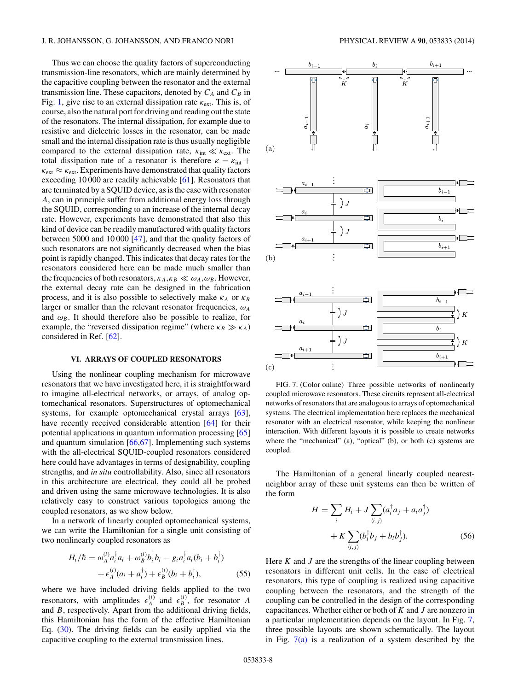#### <span id="page-7-0"></span>J. R. JOHANSSON, G. JOHANSSON, AND FRANCO NORI PHYSICAL REVIEW A **90**, 053833 (2014)

Thus we can choose the quality factors of superconducting transmission-line resonators, which are mainly determined by the capacitive coupling between the resonator and the external transmission line. These capacitors, denoted by  $C_A$  and  $C_B$  in Fig. [1,](#page-1-0) give rise to an external dissipation rate *κ*ext. This is, of course, also the natural port for driving and reading out the state of the resonators. The internal dissipation, for example due to resistive and dielectric losses in the resonator, can be made small and the internal dissipation rate is thus usually negligible compared to the external dissipation rate,  $\kappa_{\text{int}} \ll \kappa_{\text{ext}}$ . The total dissipation rate of a resonator is therefore  $\kappa = \kappa_{\text{int}} +$  $\kappa_{\text{ext}} \approx \kappa_{\text{ext}}$ . Experiments have demonstrated that quality factors exceeding 10 000 are readily achievable [\[61\]](#page-9-0). Resonators that are terminated by a SQUID device, as is the case with resonator *A*, can in principle suffer from additional energy loss through the SQUID, corresponding to an increase of the internal decay rate. However, experiments have demonstrated that also this kind of device can be readily manufactured with quality factors between 5000 and 10 000 [\[47\]](#page-9-0), and that the quality factors of such resonators are not significantly decreased when the bias point is rapidly changed. This indicates that decay rates for the resonators considered here can be made much smaller than the frequencies of both resonators,  $\kappa_A, \kappa_B \ll \omega_A, \omega_B$ . However, the external decay rate can be designed in the fabrication process, and it is also possible to selectively make  $\kappa_A$  or  $\kappa_B$ larger or smaller than the relevant resonator frequencies,  $\omega_A$ and  $\omega_B$ . It should therefore also be possible to realize, for example, the "reversed dissipation regime" (where  $\kappa_B \gg \kappa_A$ ) considered in Ref. [\[62\]](#page-9-0).

## **VI. ARRAYS OF COUPLED RESONATORS**

Using the nonlinear coupling mechanism for microwave resonators that we have investigated here, it is straightforward to imagine all-electrical networks, or arrays, of analog optomechanical resonators. Superstructures of optomechanical systems, for example optomechanical crystal arrays [\[63\]](#page-9-0), have recently received considerable attention [\[64\]](#page-9-0) for their potential applications in quantum information processing [\[65\]](#page-9-0) and quantum simulation [\[66,67\]](#page-9-0). Implementing such systems with the all-electrical SQUID-coupled resonators considered here could have advantages in terms of designability, coupling strengths, and *in situ* controllability. Also, since all resonators in this architecture are electrical, they could all be probed and driven using the same microwave technologies. It is also relatively easy to construct various topologies among the coupled resonators, as we show below.

In a network of linearly coupled optomechanical systems, we can write the Hamiltonian for a single unit consisting of two nonlinearly coupled resonators as

$$
H_i/\hbar = \omega_A^{(i)} a_i^{\dagger} a_i + \omega_B^{(i)} b_i^{\dagger} b_i - g_i a_i^{\dagger} a_i (b_i + b_i^{\dagger}) + \epsilon_A^{(i)} (a_i + a_i^{\dagger}) + \epsilon_B^{(i)} (b_i + b_i^{\dagger}),
$$
(55)

where we have included driving fields applied to the two resonators, with amplitudes  $\epsilon_A^{(i)}$  and  $\epsilon_B^{(i)}$ , for resonator *A* and *B*, respectively. Apart from the additional driving fields, this Hamiltonian has the form of the effective Hamiltonian Eq. [\(30\)](#page-3-0). The driving fields can be easily applied via the capacitive coupling to the external transmission lines.



FIG. 7. (Color online) Three possible networks of nonlinearly coupled microwave resonators. These circuits represent all-electrical networks of resonators that are analogous to arrays of optomechanical systems. The electrical implementation here replaces the mechanical resonator with an electrical resonator, while keeping the nonlinear interaction. With different layouts it is possible to create networks where the "mechanical" (a), "optical" (b), or both (c) systems are coupled.

The Hamiltonian of a general linearly coupled nearestneighbor array of these unit systems can then be written of the form

$$
H = \sum_{i} H_{i} + J \sum_{\langle i,j \rangle} (a_{i}^{\dagger} a_{j} + a_{i} a_{j}^{\dagger}) + K \sum_{\langle i,j \rangle} (b_{i}^{\dagger} b_{j} + b_{i} b_{j}^{\dagger}).
$$
 (56)

Here *K* and *J* are the strengths of the linear coupling between resonators in different unit cells. In the case of electrical resonators, this type of coupling is realized using capacitive coupling between the resonators, and the strength of the coupling can be controlled in the design of the corresponding capacitances. Whether either or both of *K* and *J* are nonzero in a particular implementation depends on the layout. In Fig. 7, three possible layouts are shown schematically. The layout in Fig.  $7(a)$  is a realization of a system described by the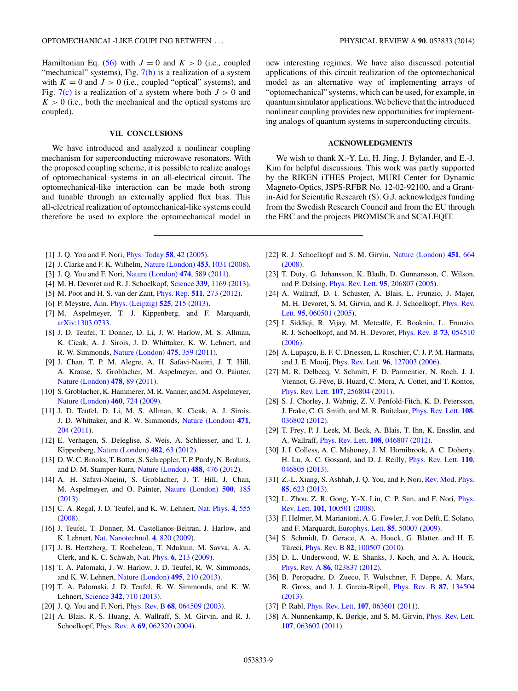<span id="page-8-0"></span>Hamiltonian Eq. [\(56\)](#page-7-0) with  $J = 0$  and  $K > 0$  (i.e., coupled "mechanical" systems), Fig.  $7(b)$  is a realization of a system with  $K = 0$  and  $J > 0$  (i.e., coupled "optical" systems), and Fig.  $7(c)$  is a realization of a system where both  $J > 0$  and  $K > 0$  (i.e., both the mechanical and the optical systems are coupled).

## **VII. CONCLUSIONS**

We have introduced and analyzed a nonlinear coupling mechanism for superconducting microwave resonators. With the proposed coupling scheme, it is possible to realize analogs of optomechanical systems in an all-electrical circuit. The optomechanical-like interaction can be made both strong and tunable through an externally applied flux bias. This all-electrical realization of optomechanical-like systems could therefore be used to explore the optomechanical model in

new interesting regimes. We have also discussed potential applications of this circuit realization of the optomechanical model as an alternative way of implementing arrays of "optomechanical" systems, which can be used, for example, in quantum simulator applications.We believe that the introduced nonlinear coupling provides new opportunities for implementing analogs of quantum systems in superconducting circuits.

# **ACKNOWLEDGMENTS**

We wish to thank X.-Y. Lü, H. Jing, J. Bylander, and E.-J. Kim for helpful discussions. This work was partly supported by the RIKEN iTHES Project, MURI Center for Dynamic Magneto-Optics, JSPS-RFBR No. 12-02-92100, and a Grantin-Aid for Scientific Research (S). G.J. acknowledges funding from the Swedish Research Council and from the EU through the ERC and the projects PROMISCE and SCALEQIT.

- [1] J. Q. You and F. Nori, [Phys. Today](http://dx.doi.org/10.1063/1.2155757) **[58](http://dx.doi.org/10.1063/1.2155757)**, [42](http://dx.doi.org/10.1063/1.2155757) [\(2005\)](http://dx.doi.org/10.1063/1.2155757).
- [2] J. Clarke and F. K. Wilhelm, [Nature \(London\)](http://dx.doi.org/10.1038/nature07128) **[453](http://dx.doi.org/10.1038/nature07128)**, [1031](http://dx.doi.org/10.1038/nature07128) [\(2008\)](http://dx.doi.org/10.1038/nature07128).
- [3] J. Q. You and F. Nori, [Nature \(London\)](http://dx.doi.org/10.1038/nature10122) **[474](http://dx.doi.org/10.1038/nature10122)**, [589](http://dx.doi.org/10.1038/nature10122) [\(2011\)](http://dx.doi.org/10.1038/nature10122).
- [4] M. H. Devoret and R. J. Schoelkopf, [Science](http://dx.doi.org/10.1126/science.1231930) **[339](http://dx.doi.org/10.1126/science.1231930)**, [1169](http://dx.doi.org/10.1126/science.1231930) [\(2013\)](http://dx.doi.org/10.1126/science.1231930).
- [5] M. Poot and H. S. van der Zant, [Phys. Rep.](http://dx.doi.org/10.1016/j.physrep.2011.12.004) **[511](http://dx.doi.org/10.1016/j.physrep.2011.12.004)**, [273](http://dx.doi.org/10.1016/j.physrep.2011.12.004) [\(2012\)](http://dx.doi.org/10.1016/j.physrep.2011.12.004).
- [6] P. Meystre, [Ann. Phys. \(Leipzig\)](http://dx.doi.org/10.1002/andp.201200226) **[525](http://dx.doi.org/10.1002/andp.201200226)**, [215](http://dx.doi.org/10.1002/andp.201200226) [\(2013\)](http://dx.doi.org/10.1002/andp.201200226).
- [7] M. Aspelmeyer, T. J. Kippenberg, and F. Marquardt, [arXiv:1303.0733.](http://arxiv.org/abs/arXiv:1303.0733)
- [8] J. D. Teufel, T. Donner, D. Li, J. W. Harlow, M. S. Allman, K. Cicak, A. J. Sirois, J. D. Whittaker, K. W. Lehnert, and R. W. Simmonds, [Nature \(London\)](http://dx.doi.org/10.1038/nature10261) **[475](http://dx.doi.org/10.1038/nature10261)**, [359](http://dx.doi.org/10.1038/nature10261) [\(2011\)](http://dx.doi.org/10.1038/nature10261).
- [9] J. Chan, T. P. M. Alegre, A. H. Safavi-Naeini, J. T. Hill, A. Krause, S. Groblacher, M. Aspelmeyer, and O. Painter, [Nature \(London\)](http://dx.doi.org/10.1038/nature10461) **[478](http://dx.doi.org/10.1038/nature10461)**, [89](http://dx.doi.org/10.1038/nature10461) [\(2011\)](http://dx.doi.org/10.1038/nature10461).
- [10] S. Groblacher, K. Hammerer, M. R. Vanner, and M. Aspelmeyer, [Nature \(London\)](http://dx.doi.org/10.1038/nature08171) **[460](http://dx.doi.org/10.1038/nature08171)**, [724](http://dx.doi.org/10.1038/nature08171) [\(2009\)](http://dx.doi.org/10.1038/nature08171).
- [11] J. D. Teufel, D. Li, M. S. Allman, K. Cicak, A. J. Sirois, J. D. Whittaker, and R. W. Simmonds, [Nature \(London\)](http://dx.doi.org/10.1038/nature09898) **[471](http://dx.doi.org/10.1038/nature09898)**, [204](http://dx.doi.org/10.1038/nature09898) [\(2011\)](http://dx.doi.org/10.1038/nature09898).
- [12] E. Verhagen, S. Deleglise, S. Weis, A. Schliesser, and T. J. Kippenberg, [Nature \(London\)](http://dx.doi.org/10.1038/nature10787) **[482](http://dx.doi.org/10.1038/nature10787)**, [63](http://dx.doi.org/10.1038/nature10787) [\(2012\)](http://dx.doi.org/10.1038/nature10787).
- [13] D.W. C. Brooks, T. Botter, S. Schreppler, T. P. Purdy, N. Brahms, and D. M. Stamper-Kurn, [Nature \(London\)](http://dx.doi.org/10.1038/nature11325) **[488](http://dx.doi.org/10.1038/nature11325)**, [476](http://dx.doi.org/10.1038/nature11325) [\(2012\)](http://dx.doi.org/10.1038/nature11325).
- [14] A. H. Safavi-Naeini, S. Groblacher, J. T. Hill, J. Chan, M. Aspelmeyer, and O. Painter, [Nature \(London\)](http://dx.doi.org/10.1038/nature12307) **[500](http://dx.doi.org/10.1038/nature12307)**, [185](http://dx.doi.org/10.1038/nature12307) [\(2013\)](http://dx.doi.org/10.1038/nature12307).
- [15] C. A. Regal, J. D. Teufel, and K. W. Lehnert, [Nat. Phys.](http://dx.doi.org/10.1038/nphys974) **[4](http://dx.doi.org/10.1038/nphys974)**, [555](http://dx.doi.org/10.1038/nphys974) [\(2008\)](http://dx.doi.org/10.1038/nphys974).
- [16] J. Teufel, T. Donner, M. Castellanos-Beltran, J. Harlow, and K. Lehnert, [Nat. Nanotechnol.](http://dx.doi.org/10.1038/nnano.2009.343) **[4](http://dx.doi.org/10.1038/nnano.2009.343)**, [820](http://dx.doi.org/10.1038/nnano.2009.343) [\(2009\)](http://dx.doi.org/10.1038/nnano.2009.343).
- [17] J. B. Hertzberg, T. Rocheleau, T. Ndukum, M. Savva, A. A. Clerk, and K. C. Schwab, [Nat. Phys.](http://dx.doi.org/10.1038/nphys1479) **[6](http://dx.doi.org/10.1038/nphys1479)**, [213](http://dx.doi.org/10.1038/nphys1479) [\(2009\)](http://dx.doi.org/10.1038/nphys1479).
- [18] T. A. Palomaki, J. W. Harlow, J. D. Teufel, R. W. Simmonds, and K. W. Lehnert, [Nature \(London\)](http://dx.doi.org/10.1038/nature11915) **[495](http://dx.doi.org/10.1038/nature11915)**, [210](http://dx.doi.org/10.1038/nature11915) [\(2013\)](http://dx.doi.org/10.1038/nature11915).
- [19] T. A. Palomaki, J. D. Teufel, R. W. Simmonds, and K. W. Lehnert, [Science](http://dx.doi.org/10.1126/science.1244563) **[342](http://dx.doi.org/10.1126/science.1244563)**, [710](http://dx.doi.org/10.1126/science.1244563) [\(2013\)](http://dx.doi.org/10.1126/science.1244563).
- [20] J. Q. You and F. Nori, [Phys. Rev. B](http://dx.doi.org/10.1103/PhysRevB.68.064509) **[68](http://dx.doi.org/10.1103/PhysRevB.68.064509)**, [064509](http://dx.doi.org/10.1103/PhysRevB.68.064509) [\(2003\)](http://dx.doi.org/10.1103/PhysRevB.68.064509).
- [21] A. Blais, R.-S. Huang, A. Wallraff, S. M. Girvin, and R. J. Schoelkopf, [Phys. Rev. A](http://dx.doi.org/10.1103/PhysRevA.69.062320) **[69](http://dx.doi.org/10.1103/PhysRevA.69.062320)**, [062320](http://dx.doi.org/10.1103/PhysRevA.69.062320) [\(2004\)](http://dx.doi.org/10.1103/PhysRevA.69.062320).
- [22] R. J. Schoelkopf and S. M. Girvin, [Nature \(London\)](http://dx.doi.org/10.1038/451664a) **[451](http://dx.doi.org/10.1038/451664a)**, [664](http://dx.doi.org/10.1038/451664a) [\(2008\)](http://dx.doi.org/10.1038/451664a).
- [23] T. Duty, G. Johansson, K. Bladh, D. Gunnarsson, C. Wilson, and P. Delsing, [Phys. Rev. Lett.](http://dx.doi.org/10.1103/PhysRevLett.95.206807) **[95](http://dx.doi.org/10.1103/PhysRevLett.95.206807)**, [206807](http://dx.doi.org/10.1103/PhysRevLett.95.206807) [\(2005\)](http://dx.doi.org/10.1103/PhysRevLett.95.206807).
- [24] A. Wallraff, D. I. Schuster, A. Blais, L. Frunzio, J. Majer, [M. H. Devoret, S. M. Girvin, and R. J. Schoelkopf,](http://dx.doi.org/10.1103/PhysRevLett.95.060501) Phys. Rev. Lett. **[95](http://dx.doi.org/10.1103/PhysRevLett.95.060501)**, [060501](http://dx.doi.org/10.1103/PhysRevLett.95.060501) [\(2005\)](http://dx.doi.org/10.1103/PhysRevLett.95.060501).
- [25] I. Siddiqi, R. Vijay, M. Metcalfe, E. Boaknin, L. Frunzio, R. J. Schoelkopf, and M. H. Devoret, [Phys. Rev. B](http://dx.doi.org/10.1103/PhysRevB.73.054510) **[73](http://dx.doi.org/10.1103/PhysRevB.73.054510)**, [054510](http://dx.doi.org/10.1103/PhysRevB.73.054510) [\(2006\)](http://dx.doi.org/10.1103/PhysRevB.73.054510).
- [26] A. Lupaşcu, E. F. C. Driessen, L. Roschier, C. J. P. M. Harmans, and J. E. Mooij, [Phys. Rev. Lett.](http://dx.doi.org/10.1103/PhysRevLett.96.127003) **[96](http://dx.doi.org/10.1103/PhysRevLett.96.127003)**, [127003](http://dx.doi.org/10.1103/PhysRevLett.96.127003) [\(2006\)](http://dx.doi.org/10.1103/PhysRevLett.96.127003).
- [27] M. R. Delbecq, V. Schmitt, F. D. Parmentier, N. Roch, J. J. Viennot, G. Fève, B. Huard, C. Mora, A. Cottet, and T. Kontos, [Phys. Rev. Lett.](http://dx.doi.org/10.1103/PhysRevLett.107.256804) **[107](http://dx.doi.org/10.1103/PhysRevLett.107.256804)**, [256804](http://dx.doi.org/10.1103/PhysRevLett.107.256804) [\(2011\)](http://dx.doi.org/10.1103/PhysRevLett.107.256804).
- [28] S. J. Chorley, J. Wabnig, Z. V. Penfold-Fitch, K. D. Petersson, J. Frake, C. G. Smith, and M. R. Buitelaar, [Phys. Rev. Lett.](http://dx.doi.org/10.1103/PhysRevLett.108.036802) **[108](http://dx.doi.org/10.1103/PhysRevLett.108.036802)**, [036802](http://dx.doi.org/10.1103/PhysRevLett.108.036802) [\(2012\)](http://dx.doi.org/10.1103/PhysRevLett.108.036802).
- [29] T. Frey, P. J. Leek, M. Beck, A. Blais, T. Ihn, K. Ensslin, and A. Wallraff, [Phys. Rev. Lett.](http://dx.doi.org/10.1103/PhysRevLett.108.046807) **[108](http://dx.doi.org/10.1103/PhysRevLett.108.046807)**, [046807](http://dx.doi.org/10.1103/PhysRevLett.108.046807) [\(2012\)](http://dx.doi.org/10.1103/PhysRevLett.108.046807).
- [30] J. I. Colless, A. C. Mahoney, J. M. Hornibrook, A. C. Doherty, H. Lu, A. C. Gossard, and D. J. Reilly, [Phys. Rev. Lett.](http://dx.doi.org/10.1103/PhysRevLett.110.046805) **[110](http://dx.doi.org/10.1103/PhysRevLett.110.046805)**, [046805](http://dx.doi.org/10.1103/PhysRevLett.110.046805) [\(2013\)](http://dx.doi.org/10.1103/PhysRevLett.110.046805).
- [31] Z.-L. Xiang, S. Ashhab, J. Q. You, and F. Nori, [Rev. Mod. Phys.](http://dx.doi.org/10.1103/RevModPhys.85.623) **[85](http://dx.doi.org/10.1103/RevModPhys.85.623)**, [623](http://dx.doi.org/10.1103/RevModPhys.85.623) [\(2013\)](http://dx.doi.org/10.1103/RevModPhys.85.623).
- [32] [L. Zhou, Z. R. Gong, Y.-X. Liu, C. P. Sun, and F. Nori,](http://dx.doi.org/10.1103/PhysRevLett.101.100501) Phys. Rev. Lett. **[101](http://dx.doi.org/10.1103/PhysRevLett.101.100501)**, [100501](http://dx.doi.org/10.1103/PhysRevLett.101.100501) [\(2008\)](http://dx.doi.org/10.1103/PhysRevLett.101.100501).
- [33] F. Helmer, M. Mariantoni, A. G. Fowler, J. von Delft, E. Solano, and F. Marquardt, [Europhys. Lett.](http://dx.doi.org/10.1209/0295-5075/85/50007) **[85](http://dx.doi.org/10.1209/0295-5075/85/50007)**, [50007](http://dx.doi.org/10.1209/0295-5075/85/50007) [\(2009\)](http://dx.doi.org/10.1209/0295-5075/85/50007).
- [34] S. Schmidt, D. Gerace, A. A. Houck, G. Blatter, and H. E. Türeci, *[Phys. Rev. B](http://dx.doi.org/10.1103/PhysRevB.82.100507)* **[82](http://dx.doi.org/10.1103/PhysRevB.82.100507)**, [100507](http://dx.doi.org/10.1103/PhysRevB.82.100507) [\(2010\)](http://dx.doi.org/10.1103/PhysRevB.82.100507).
- [35] D. L. Underwood, W. E. Shanks, J. Koch, and A. A. Houck, [Phys. Rev. A](http://dx.doi.org/10.1103/PhysRevA.86.023837) **[86](http://dx.doi.org/10.1103/PhysRevA.86.023837)**, [023837](http://dx.doi.org/10.1103/PhysRevA.86.023837) [\(2012\)](http://dx.doi.org/10.1103/PhysRevA.86.023837).
- [36] B. Peropadre, D. Zueco, F. Wulschner, F. Deppe, A. Marx, R. Gross, and J. J. Garcia-Ripoll, [Phys. Rev. B](http://dx.doi.org/10.1103/PhysRevB.87.134504) **[87](http://dx.doi.org/10.1103/PhysRevB.87.134504)**, [134504](http://dx.doi.org/10.1103/PhysRevB.87.134504) [\(2013\)](http://dx.doi.org/10.1103/PhysRevB.87.134504).
- [37] P. Rabl, [Phys. Rev. Lett.](http://dx.doi.org/10.1103/PhysRevLett.107.063601) **[107](http://dx.doi.org/10.1103/PhysRevLett.107.063601)**, [063601](http://dx.doi.org/10.1103/PhysRevLett.107.063601) [\(2011\)](http://dx.doi.org/10.1103/PhysRevLett.107.063601).
- [38] A. Nunnenkamp, K. Børkje, and S. M. Girvin, [Phys. Rev. Lett.](http://dx.doi.org/10.1103/PhysRevLett.107.063602) **[107](http://dx.doi.org/10.1103/PhysRevLett.107.063602)**, [063602](http://dx.doi.org/10.1103/PhysRevLett.107.063602) [\(2011\)](http://dx.doi.org/10.1103/PhysRevLett.107.063602).